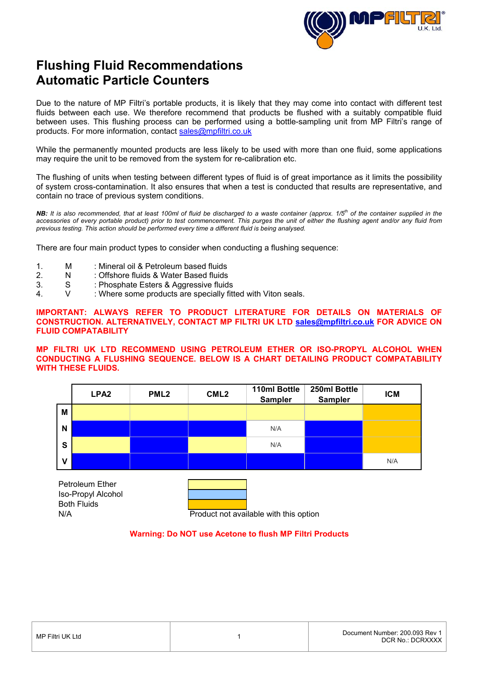

# **Flushing Fluid Recommendations Automatic Particle Counters**

Due to the nature of MP Filtri's portable products, it is likely that they may come into contact with different test fluids between each use. We therefore recommend that products be flushed with a suitably compatible fluid between uses. This flushing process can be performed using a bottle-sampling unit from MP Filtri's range of products. For more information, contact [sales@mpfiltri.co.uk](mailto:sales@mpfiltri.co.uk)

While the permanently mounted products are less likely to be used with more than one fluid, some applications may require the unit to be removed from the system for re-calibration etc.

The flushing of units when testing between different types of fluid is of great importance as it limits the possibility of system cross-contamination. It also ensures that when a test is conducted that results are representative, and contain no trace of previous system conditions.

*NB: It is also recommended, that at least 100ml of fluid be discharged to a waste container (approx. 1/5th of the container supplied in the accessories of every portable product) prior to test commencement. This purges the unit of either the flushing agent and/or any fluid from previous testing. This action should be performed every time a different fluid is being analysed.*

There are four main product types to consider when conducting a flushing sequence:

- 1. M : Mineral oil & Petroleum based fluids
- 2. N : Offshore fluids & Water Based fluids
- 3. S : Phosphate Esters & Aggressive fluids
- 4. V : Where some products are specially fitted with Viton seals.

**IMPORTANT: ALWAYS REFER TO PRODUCT LITERATURE FOR DETAILS ON MATERIALS OF CONSTRUCTION. ALTERNATIVELY, CONTACT MP FILTRI UK LTD [sales@mpfiltri.co.uk](mailto:sales@mpfiltri.co.uk) FOR ADVICE ON FLUID COMPATABILITY** 

#### **MP FILTRI UK LTD RECOMMEND USING PETROLEUM ETHER OR ISO-PROPYL ALCOHOL WHEN CONDUCTING A FLUSHING SEQUENCE. BELOW IS A CHART DETAILING PRODUCT COMPATABILITY WITH THESE FLUIDS.**



Both Fluids Petroleum Ether Iso-Propyl Alcohol

N/A Product not available with this option

### **Warning: Do NOT use Acetone to flush MP Filtri Products**